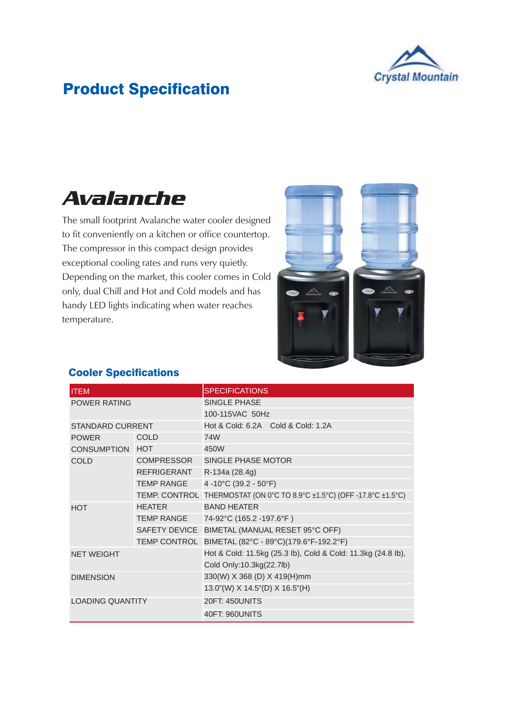

## Product Specification

## *Avalanche*

The small footprint Avalanche water cooler designed to fit conveniently on a kitchen or office countertop. The compressor in this compact design provides exceptional cooling rates and runs very quietly. Depending on the market, this cooler comes in Cold only, dual Chill and Hot and Cold models and has handy LED lights indicating when water reaches temperature.



| <b>ITEM</b>             |                    | <b>SPECIFICATIONS</b>                                        |  |  |  |  |  |
|-------------------------|--------------------|--------------------------------------------------------------|--|--|--|--|--|
| <b>POWER RATING</b>     |                    | SINGLE PHASE                                                 |  |  |  |  |  |
|                         |                    | 100-115VAC 50Hz                                              |  |  |  |  |  |
| <b>STANDARD CURRENT</b> |                    | Hot & Cold: 6.2A Cold & Cold: 1.2A                           |  |  |  |  |  |
| <b>POWER</b>            | <b>COLD</b>        | 74W                                                          |  |  |  |  |  |
| CONSUMPTION HOT         | 450W               |                                                              |  |  |  |  |  |
| <b>COLD</b>             | <b>COMPRESSOR</b>  | SINGLE PHASE MOTOR                                           |  |  |  |  |  |
|                         | <b>REFRIGERANT</b> | R-134a (28.4g)                                               |  |  |  |  |  |
|                         | TEMP RANGE         | 4-10°C (39.2 - 50°F)                                         |  |  |  |  |  |
|                         | TEMP. CONTROL      | THERMOSTAT (ON 0°C TO 8.9°C ±1.5°C) (OFF -17.8°C ±1.5°C)     |  |  |  |  |  |
| <b>HOT</b>              | <b>HEATER</b>      | <b>BAND HEATER</b>                                           |  |  |  |  |  |
|                         | <b>TEMP RANGE</b>  | 74-92°C (165.2 -197.6°F)                                     |  |  |  |  |  |
|                         |                    | SAFETY DEVICE BIMETAL (MANUAL RESET 95°C OFF)                |  |  |  |  |  |
|                         |                    | TEMP CONTROL BIMETAL (82°C - 89°C)(179.6°F-192.2°F)          |  |  |  |  |  |
| <b>NET WEIGHT</b>       |                    | Hot & Cold: 11.5kg (25.3 lb), Cold & Cold: 11.3kg (24.8 lb), |  |  |  |  |  |
|                         |                    | Cold Only:10.3kg(22.7lb)                                     |  |  |  |  |  |
| <b>DIMENSION</b>        |                    | 330(W) X 368 (D) X 419(H)mm                                  |  |  |  |  |  |
|                         |                    | 13.0"(W) X 14.5"(D) X 16.5"(H)                               |  |  |  |  |  |
| <b>LOADING QUANTITY</b> |                    | <b>20FT: 450UNITS</b>                                        |  |  |  |  |  |
|                         |                    | 40FT: 960UNITS                                               |  |  |  |  |  |

## Cooler Specifications